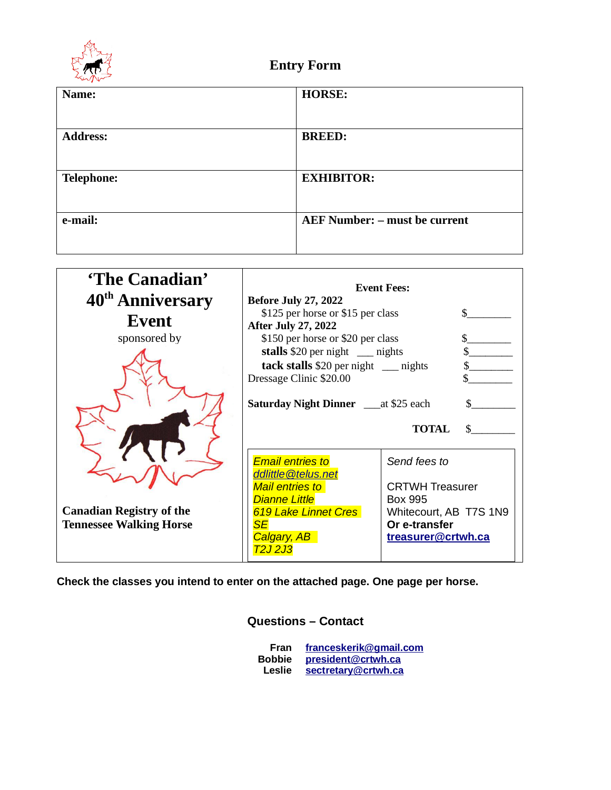

| Name:             | <b>HORSE:</b>                        |
|-------------------|--------------------------------------|
|                   |                                      |
| <b>Address:</b>   | <b>BREED:</b>                        |
|                   |                                      |
| <b>Telephone:</b> | <b>EXHIBITOR:</b>                    |
|                   |                                      |
| e-mail:           | <b>AEF Number: - must be current</b> |
|                   |                                      |

| 'The Canadian'                  |                                                | <b>Event Fees:</b>     |    |
|---------------------------------|------------------------------------------------|------------------------|----|
| 40 <sup>th</sup> Anniversary    | <b>Before July 27, 2022</b>                    |                        |    |
|                                 | \$125 per horse or \$15 per class              |                        |    |
| Event                           | <b>After July 27, 2022</b>                     |                        |    |
| sponsored by                    | \$150 per horse or \$20 per class              |                        |    |
|                                 | stalls \$20 per night __ nights                |                        |    |
|                                 | tack stalls \$20 per night __ nights           |                        |    |
|                                 | Dressage Clinic \$20.00                        |                        |    |
|                                 | <b>Saturday Night Dinner</b> ____ at \$25 each |                        |    |
|                                 |                                                | <b>TOTAL</b>           | \$ |
|                                 | <b>Email entries to</b><br>ddlittle@telus.net  | Send fees to           |    |
|                                 | <b>Mail entries to</b>                         | <b>CRTWH Treasurer</b> |    |
|                                 | <b>Dianne Little</b>                           | Box 995                |    |
| <b>Canadian Registry of the</b> | 619 Lake Linnet Cres                           | Whitecourt, AB T7S 1N9 |    |
| <b>Tennessee Walking Horse</b>  | <b>SE</b>                                      | Or e-transfer          |    |
|                                 | Calgary, AB<br><u>72J 2J3</u>                  | treasurer@crtwh.ca     |    |

**Check the classes you intend to enter on the attached page. One page per horse.**

## **Questions – Contact**

| Fran          | franceskerik@gmail.com |  |
|---------------|------------------------|--|
| <b>Bobbie</b> | president@crtwh.ca     |  |
| Leslie        | sectretary@crtwh.ca    |  |